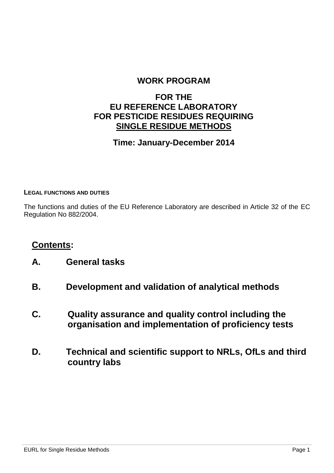#### **WORK PROGRAM**

#### **FOR THE EU REFERENCE LABORATORY FOR PESTICIDE RESIDUES REQUIRING SINGLE RESIDUE METHODS**

#### **Time: January-December 2014**

#### **LEGAL FUNCTIONS AND DUTIES**

The functions and duties of the EU Reference Laboratory are described in Article 32 of the EC Regulation No 882/2004.

#### **Contents:**

- **A. General tasks**
- **B. Development and validation of analytical methods**
- **C. Quality assurance and quality control including the organisation and implementation of proficiency tests**
- **D. Technical and scientific support to NRLs, OfLs and third country labs**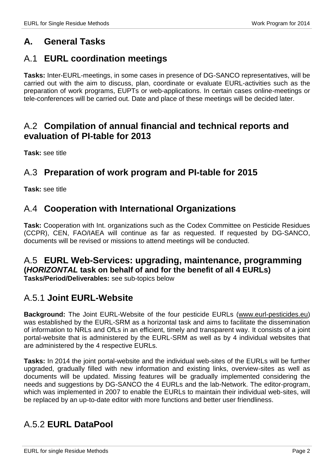## **A. General Tasks**

## A.1 **EURL coordination meetings**

**Tasks:** Inter-EURL-meetings, in some cases in presence of DG-SANCO representatives, will be carried out with the aim to discuss, plan, coordinate or evaluate EURL-activities such as the preparation of work programs, EUPTs or web-applications. In certain cases online-meetings or tele-conferences will be carried out. Date and place of these meetings will be decided later.

#### A.2 **Compilation of annual financial and technical reports and evaluation of PI-table for 2013**

**Task:** see title

#### A.3 **Preparation of work program and PI-table for 2015**

**Task:** see title

#### A.4 **Cooperation with International Organizations**

**Task:** Cooperation with Int. organizations such as the Codex Committee on Pesticide Residues (CCPR), CEN, FAO/IAEA will continue as far as requested. If requested by DG-SANCO, documents will be revised or missions to attend meetings will be conducted.

# A.5 **EURL Web-Services: upgrading, maintenance, programming (***HORIZONTAL* **task on behalf of and for the benefit of all 4 EURLs)**

**Tasks/Period/Deliverables:** see sub-topics below

#### A.5.1 **Joint EURL-Website**

**Background:** The Joint EURL-Website of the four pesticide EURLs [\(www.eurl-pesticides.eu\)](http://www.eurl-pesticides.eu/) was established by the EURL-SRM as a horizontal task and aims to facilitate the dissemination of information to NRLs and OfLs in an efficient, timely and transparent way. It consists of a joint portal-website that is administered by the EURL-SRM as well as by 4 individual websites that are administered by the 4 respective EURLs.

**Tasks:** In 2014 the joint portal-website and the individual web-sites of the EURLs will be further upgraded, gradually filled with new information and existing links, overview-sites as well as documents will be updated. Missing features will be gradually implemented considering the needs and suggestions by DG-SANCO the 4 EURLs and the lab-Network. The editor-program, which was implemented in 2007 to enable the EURLs to maintain their individual web-sites, will be replaced by an up-to-date editor with more functions and better user friendliness.

## A.5.2 **EURL DataPool**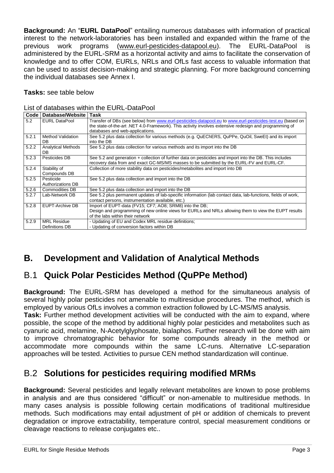**Background:** An "**EURL DataPool**" entailing numerous databases with information of practical interest to the network-laboratories has been installed and expanded within the frame of the previous work programs [\(www.eurl-pesticides-datapool.eu\)](http://www.eurl-pesticides-datapool.eu/). The EURL-DataPool is administered by the EURL-SRM as a horizontal activity and aims to facilitate the conservation of knowledge and to offer COM, EURLs, NRLs and OfLs fast access to valuable information that can be used to assist decision-making and strategic planning. For more background concerning the individual databases see Annex I.

**Tasks:** see table below

|  |  | List of databases within the EURL-DataPool |
|--|--|--------------------------------------------|
|--|--|--------------------------------------------|

| Code  | Database/Website          | Task                                                                                                         |
|-------|---------------------------|--------------------------------------------------------------------------------------------------------------|
| 5.2   | <b>EURL DataPool</b>      | Transfer of DBs (see below) from www.eurl-pesticides-datapool.eu to www.eurl-pesticides-test.eu (based on    |
|       |                           | the state-of-the-art .NET 4.0-Framework). This activity involves extensive redesign and programming of       |
|       |                           | databases and web-applications.                                                                              |
| 5.2.1 | Method Validation         | See 5.2 plus data collection for various methods (e.g. QuEChERS, QuPPe, QuOil, SweEt) and its import         |
|       | DB                        | into the DB                                                                                                  |
| 5.2.2 | <b>Analytical Methods</b> | See 5.2 plus data collection for various methods and its import into the DB                                  |
|       | DB                        |                                                                                                              |
| 5.2.3 | Pesticides DB             | See 5.2 and generation + collection of further data on pesticides and import into the DB. This includes      |
|       |                           | recovery data from and exact GC-MS/MS masses to be submitted by the EURL-FV and EURL-CF.                     |
| 5.2.4 | Stability of              | Collection of more stability data on pesticides/metabolites and import into DB                               |
|       | Compounds DB              |                                                                                                              |
| 5.2.5 | Pesticide                 | See 5.2 plus data collection and import into the DB                                                          |
|       | Authorizations DB         |                                                                                                              |
| 5.2.6 | Commodities DB            | See 5.2 plus data collection and import into the DB                                                          |
| 5.2.7 | Lab-Network DB            | See 5.2 plus permanent updates of lab-specific information (lab contact data, lab-functions, fields of work, |
|       |                           | contact persons, instrumentation available, etc.)                                                            |
| 5.2.8 | EUPT-Archive DB           | Import of EUPT-data (FV15; CF7; AO8; SRM8) into the DB;                                                      |
|       |                           | Design and programming of new online views for EURLs and NRLs allowing them to view the EUPT results         |
|       |                           | of the labs within their network                                                                             |
| 5.2.9 | <b>MRL Residue</b>        | - Updating of EU and Codex MRL residue definitions;                                                          |
|       | Definitions DB            | - Updating of conversion factors within DB                                                                   |

## **B. Development and Validation of Analytical Methods**

## B.1 **Quick Polar Pesticides Method (QuPPe Method)**

**Background:** The EURL-SRM has developed a method for the simultaneous analysis of several highly polar pesticides not amenable to multiresidue procedures. The method, which is employed by various OfLs involves a common extraction followed by LC-MS/MS analysis.

**Task:** Further method development activities will be conducted with the aim to expand, where possible, the scope of the method by additional highly polar pesticides and metabolites such as cyanuric acid, melamine, N-Acetylglyphosate, bialaphos. Further research will be done with aim to improve chromatographic behavior for some compounds already in the method or accommodate more compounds within the same LC-runs. Alternative LC-separation approaches will be tested. Activities to pursue CEN method standardization will continue.

## B.2 **Solutions for pesticides requiring modified MRMs**

**Background:** Several pesticides and legally relevant metabolites are known to pose problems in analysis and are thus considered "difficult" or non-amenable to multiresidue methods. In many cases analysis is possible following certain modifications of traditional multiresidue methods. Such modifications may entail adjustment of pH or addition of chemicals to prevent degradation or improve extractability, temperature control, special measurement conditions or cleavage reactions to release conjugates etc..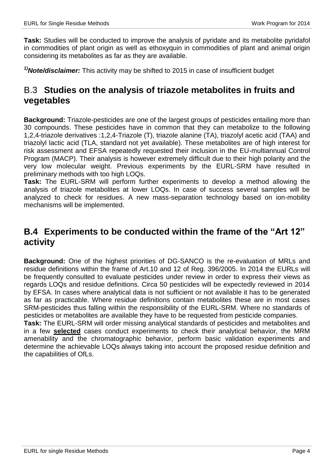**Task:** Studies will be conducted to improve the analysis of pyridate and its metabolite pyridafol in commodities of plant origin as well as ethoxyquin in commodities of plant and animal origin considering its metabolites as far as they are available.

*1)Note/disclaimer:* This activity may be shifted to 2015 in case of insufficient budget

### B.3 **Studies on the analysis of triazole metabolites in fruits and vegetables**

**Background:** Triazole-pesticides are one of the largest groups of pesticides entailing more than 30 compounds. These pesticides have in common that they can metabolize to the following 1,2,4-triazole derivatives :1,2,4-Triazole (T), triazole alanine (TA), triazolyl acetic acid (TAA) and triazolyl lactic acid (TLA, standard not yet available). These metabolites are of high interest for risk assessment and EFSA repeatedly requested their inclusion in the EU-multiannual Control Program (MACP). Their analysis is however extremely difficult due to their high polarity and the very low molecular weight. Previous experiments by the EURL-SRM have resulted in preliminary methods with too high LOQs.

**Task:** The EURL-SRM will perform further experiments to develop a method allowing the analysis of triazole metabolites at lower LOQs. In case of success several samples will be analyzed to check for residues. A new mass-separation technology based on ion-mobility mechanisms will be implemented.

#### **B.4 Experiments to be conducted within the frame of the "Art 12" activity**

**Background:** One of the highest priorities of DG-SANCO is the re-evaluation of MRLs and residue definitions within the frame of Art.10 and 12 of Reg. 396/2005. In 2014 the EURLs will be frequently consulted to evaluate pesticides under review in order to express their views as regards LOQs and residue definitions. Circa 50 pesticides will be expectedly reviewed in 2014 by EFSA. In cases where analytical data is not sufficient or not available it has to be generated as far as practicable. Where residue definitions contain metabolites these are in most cases SRM-pesticides thus falling within the responsibility of the EURL-SRM. Where no standards of pesticides or metabolites are available they have to be requested from pesticide companies.

**Task:** The EURL-SRM will order missing analytical standards of pesticides and metabolites and in a few **selected** cases conduct experiments to check their analytical behavior, the MRM amenability and the chromatographic behavior, perform basic validation experiments and determine the achievable LOQs always taking into account the proposed residue definition and the capabilities of OfLs.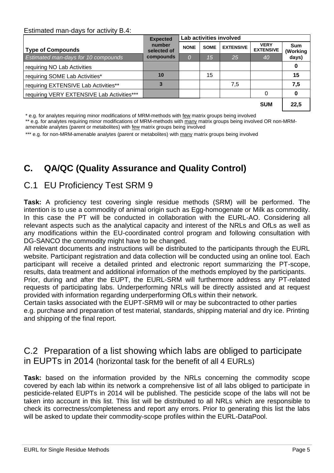#### Estimated man-days for activity B.4:

|                                            | <b>Expected</b>       | Lab activities involved |             |                  |                                 |                        |
|--------------------------------------------|-----------------------|-------------------------|-------------|------------------|---------------------------------|------------------------|
| Type of Compounds                          | number<br>selected of | <b>NONE</b>             | <b>SOME</b> | <b>EXTENSIVE</b> | <b>VERY</b><br><b>EXTENSIVE</b> | <b>Sum</b><br>(Working |
| Estimated man-days for 10 compounds        | compounds             | 0                       | 15          | 25               | 40                              | days)                  |
| requiring NO Lab Activities                |                       |                         |             |                  |                                 | 0                      |
| requiring SOME Lab Activities*             | 10                    |                         | 15          |                  |                                 | 15                     |
| requiring EXTENSIVE Lab Activities**       |                       |                         |             | 7,5              |                                 | 7,5                    |
| requiring VERY EXTENSIVE Lab Activities*** |                       |                         |             |                  | 0                               | 0                      |
|                                            |                       |                         |             |                  | <b>SUM</b>                      | 22,5                   |

\* e.g. for analytes requiring minor modifications of MRM-methods with few matrix groups being involved

\*\* e.g. for analytes requiring minor modifications of MRM-methods with many matrix groups being involved OR non-MRM-

amenable analytes (parent or metabolites) with few matrix groups being involved

\*\*\* e.g. for non-MRM-amenable analytes (parent or metabolites) with many matrix groups being involved

# **C. QA/QC (Quality Assurance and Quality Control)**

## C.1 EU Proficiency Test SRM 9

**Task:** A proficiency test covering single residue methods (SRM) will be performed. The intention is to use a commodity of animal origin such as Egg-homogenate or Milk as commodity. In this case the PT will be conducted in collaboration with the EURL-AO. Considering all relevant aspects such as the analytical capacity and interest of the NRLs and OfLs as well as any modifications within the EU-coordinated control program and following consultation with DG-SANCO the commodity might have to be changed.

All relevant documents and instructions will be distributed to the participants through the EURL website. Participant registration and data collection will be conducted using an online tool. Each participant will receive a detailed printed and electronic report summarizing the PT-scope, results, data treatment and additional information of the methods employed by the participants.

Prior, during and after the EUPT, the EURL-SRM will furthermore address any PT-related requests of participating labs. Underperforming NRLs will be directly assisted and at request provided with information regarding underperforming OfLs within their network.

Certain tasks associated with the EUPT-SRM9 will or may be subcontracted to other parties e.g. purchase and preparation of test material, standards, shipping material and dry ice. Printing and shipping of the final report.

## C.2 Preparation of a list showing which labs are obliged to participate in EUPTs in 2014 (horizontal task for the benefit of all 4 EURLs)

**Task:** based on the information provided by the NRLs concerning the commodity scope covered by each lab within its network a comprehensive list of all labs obliged to participate in pesticide-related EUPTs in 2014 will be published. The pesticide scope of the labs will not be taken into account in this list. This list will be distributed to all NRLs which are responsible to check its correctness/completeness and report any errors. Prior to generating this list the labs will be asked to update their commodity-scope profiles within the EURL-DataPool.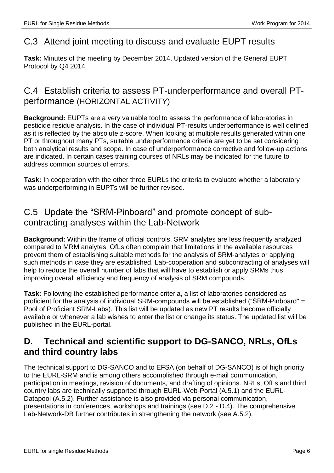### C.3 Attend joint meeting to discuss and evaluate EUPT results

**Task:** Minutes of the meeting by December 2014, Updated version of the General EUPT Protocol by Q4 2014

#### C.4 Establish criteria to assess PT-underperformance and overall PTperformance (HORIZONTAL ACTIVITY)

**Background:** EUPTs are a very valuable tool to assess the performance of laboratories in pesticide residue analysis. In the case of individual PT-results underperformance is well defined as it is reflected by the absolute z-score. When looking at multiple results generated within one PT or throughout many PTs, suitable underperformance criteria are yet to be set considering both analytical results and scope. In case of underperformance corrective and follow-up actions are indicated. In certain cases training courses of NRLs may be indicated for the future to address common sources of errors.

**Task:** In cooperation with the other three EURLs the criteria to evaluate whether a laboratory was underperforming in EUPTs will be further revised.

## C.5 Update the "SRM-Pinboard" and promote concept of subcontracting analyses within the Lab-Network

**Background:** Within the frame of official controls, SRM analytes are less frequently analyzed compared to MRM analytes. OfLs often complain that limitations in the available resources prevent them of establishing suitable methods for the analysis of SRM-analytes or applying such methods in case they are established. Lab-cooperation and subcontracting of analyses will help to reduce the overall number of labs that will have to establish or apply SRMs thus improving overall efficiency and frequency of analysis of SRM compounds.

**Task:** Following the established performance criteria, a list of laboratories considered as proficient for the analysis of individual SRM-compounds will be established ("SRM-Pinboard" = Pool of Proficient SRM-Labs). This list will be updated as new PT results become officially available or whenever a lab wishes to enter the list or change its status. The updated list will be published in the EURL-portal.

## **D. Technical and scientific support to DG-SANCO, NRLs, OfLs and third country labs**

The technical support to DG-SANCO and to EFSA (on behalf of DG-SANCO) is of high priority to the EURL-SRM and is among others accomplished through e-mail communication, participation in meetings, revision of documents, and drafting of opinions. NRLs, OfLs and third country labs are technically supported through EURL-Web-Portal (A.5.1) and the EURL-Datapool (A.5.2). Further assistance is also provided via personal communication, presentations in conferences, workshops and trainings (see D.2 - D.4). The comprehensive Lab-Network-DB further contributes in strengthening the network (see A.5.2).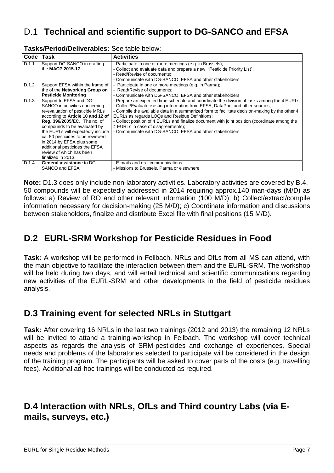# D.1 **Technical and scientific support to DG-SANCO and EFSA**

| Code  | Task                                                                                                                                                                                                                                                                                                                                                                                               | <b>Activities</b>                                                                                                                                                                                                                                                                                                                                                                                                                                                                                                                   |
|-------|----------------------------------------------------------------------------------------------------------------------------------------------------------------------------------------------------------------------------------------------------------------------------------------------------------------------------------------------------------------------------------------------------|-------------------------------------------------------------------------------------------------------------------------------------------------------------------------------------------------------------------------------------------------------------------------------------------------------------------------------------------------------------------------------------------------------------------------------------------------------------------------------------------------------------------------------------|
| D.1.1 | Support DG-SANCO in drafting<br>the MACP 2015-17                                                                                                                                                                                                                                                                                                                                                   | - Participate in one or more meetings (e.g. in Brussels);<br>- Collect and evaluate data and prepare a new "Pesticide Priority List";<br>- Read/Revise of documents:<br>- Communicate with DG-SANCO, EFSA and other stakeholders                                                                                                                                                                                                                                                                                                    |
| D.1.2 | Support EFSA within the frame of<br>the of the <b>Networking Group on</b><br><b>Pesticide Monitoring</b>                                                                                                                                                                                                                                                                                           | - Participate in one or more meetings (e.g. in Parma);<br>- Read/Revise of documents:<br>- Communicate with DG-SANCO, EFSA and other stakeholders                                                                                                                                                                                                                                                                                                                                                                                   |
| D.1.3 | Support to EFSA and DG-<br>SANCO in activities concerning<br>re-evaluation of pesticide MRLs<br>according to Article 10 and 12 of<br><b>Reg. 396/2005/EC.</b> The no. of<br>compounds to be evaluated by<br>the EURLs will expectedly include<br>ca. 50 pesticides to be reviewed<br>in 2014 by EFSA plus some<br>additional pesticides the EFSA<br>review of which has been<br>finalized in 2013. | - Prepare an expected time schedule and coordinate the division of tasks among the 4 EURLs<br>- Collect/Evaluate existing information from EFSA, DataPool and other sources;<br>- Compile the available data in a summarized form to facilitate decision-making by the other 4<br>EURLs as regards LOQs and Residue Definitions;<br>- Collect position of 4 EURLs and finalize document with joint position (coordinate among the<br>4 EURLs in case of disagreements);<br>- Communicate with DG-SANCO, EFSA and other stakeholders |
| D.1.4 | <b>General assistance to DG-</b><br>SANCO and EFSA                                                                                                                                                                                                                                                                                                                                                 | - E-mails and oral communications<br>- Missions to Brussels, Parma or elsewhere                                                                                                                                                                                                                                                                                                                                                                                                                                                     |

#### **Tasks/Period/Deliverables:** See table below:

**Note:** D1.3 does only include non-laboratory activities. Laboratory activities are covered by B.4. 50 compounds will be expectedly addressed in 2014 requiring approx.140 man-days (M/D) as follows: a) Review of RO and other relevant information (100 M/D); b) Collect/extract/compile information necessary for decision-making (25 M/D); c) Coordinate information and discussions between stakeholders, finalize and distribute Excel file with final positions (15 M/D).

## **D.2 EURL-SRM Workshop for Pesticide Residues in Food**

**Task:** A workshop will be performed in Fellbach. NRLs and OfLs from all MS can attend, with the main objective to facilitate the interaction between them and the EURL-SRM. The workshop will be held during two days, and will entail technical and scientific communications regarding new activities of the EURL-SRM and other developments in the field of pesticide residues analysis.

## **D.3 Training event for selected NRLs in Stuttgart**

**Task:** After covering 16 NRLs in the last two trainings (2012 and 2013) the remaining 12 NRLs will be invited to attand a training-workshop in Fellbach. The workshop will cover technical aspects as regards the analysis of SRM-pesticides and exchange of experiences. Special needs and problems of the laboratories selected to participate will be considered in the design of the training program. The participants will be asked to cover parts of the costs (e.g. travelling fees). Additional ad-hoc trainings will be conducted as required.

## **D.4 Interaction with NRLs, OfLs and Third country Labs (via Emails, surveys, etc.)**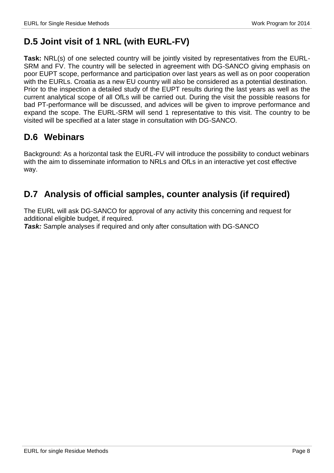# **D.5 Joint visit of 1 NRL (with EURL-FV)**

**Task:** NRL(s) of one selected country will be jointly visited by representatives from the EURL-SRM and FV. The country will be selected in agreement with DG-SANCO giving emphasis on poor EUPT scope, performance and participation over last years as well as on poor cooperation with the EURLs. Croatia as a new EU country will also be considered as a potential destination. Prior to the inspection a detailed study of the EUPT results during the last years as well as the current analytical scope of all OfLs will be carried out. During the visit the possible reasons for bad PT-performance will be discussed, and advices will be given to improve performance and expand the scope. The EURL-SRM will send 1 representative to this visit. The country to be visited will be specified at a later stage in consultation with DG-SANCO.

## **D.6 Webinars**

Background: As a horizontal task the EURL-FV will introduce the possibility to conduct webinars with the aim to disseminate information to NRLs and OfLs in an interactive yet cost effective way.

# **D.7 Analysis of official samples, counter analysis (if required)**

The EURL will ask DG-SANCO for approval of any activity this concerning and request for additional eligible budget, if required.

*Task:* Sample analyses if required and only after consultation with DG-SANCO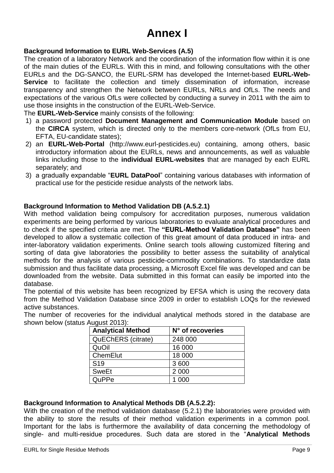# **Annex I**

#### **Background Information to EURL Web-Services (A.5)**

The creation of a laboratory Network and the coordination of the information flow within it is one of the main duties of the EURLs. With this in mind, and following consultations with the other EURLs and the DG-SANCO, the EURL-SRM has developed the Internet-based **EURL-Web-Service** to facilitate the collection and timely dissemination of information, increase transparency and strengthen the Network between EURLs, NRLs and OfLs. The needs and expectations of the various OfLs were collected by conducting a survey in 2011 with the aim to use those insights in the construction of the EURL-Web-Service.

The **EURL-Web-Service** mainly consists of the following:

- 1) a password protected **Document Management and Communication Module** based on the **CIRCA** system, which is directed only to the members core-network (OfLs from EU, EFTA, EU-candidate states);
- 2) an **EURL-Web-Portal** (http://www.eurl-pesticides.eu) containing, among others, basic introductory information about the EURLs, news and announcements, as well as valuable links including those to the **individual EURL-websites** that are managed by each EURL separately; and
- 3) a gradually expandable "**EURL DataPool**" containing various databases with information of practical use for the pesticide residue analysts of the network labs.

#### **Background Information to Method Validation DB (A.5.2.1)**

With method validation being compulsory for accreditation purposes, numerous validation experiments are being performed by various laboratories to evaluate analytical procedures and to check if the specified criteria are met. The **"EURL-Method Validation Database"** has been developed to allow a systematic collection of this great amount of data produced in intra- and inter-laboratory validation experiments. Online search tools allowing customized filtering and sorting of data give laboratories the possibility to better assess the suitability of analytical methods for the analysis of various pesticide-commodity combinations. To standardize data submission and thus facilitate data processing, a Microsoft Excel file was developed and can be downloaded from the website. Data submitted in this format can easily be imported into the database.

The potential of this website has been recognized by EFSA which is using the recovery data from the Method Validation Database since 2009 in order to establish LOQs for the reviewed active substances.

The number of recoveries for the individual analytical methods stored in the database are shown below (status August 2013):

| <b>Analytical Method</b>  | N° of recoveries |
|---------------------------|------------------|
| <b>QuEChERS (citrate)</b> | 248 000          |
| QuOil                     | 16 000           |
| ChemElut                  | 18 000           |
| S <sub>19</sub>           | 3 600            |
| <b>SweEt</b>              | 2 0 0 0          |
| QuPPe                     | 000              |

#### **Background Information to Analytical Methods DB (A.5.2.2):**

With the creation of the method validation database (5.2.1) the laboratories were provided with the ability to store the results of their method validation experiments in a common pool. Important for the labs is furthermore the availability of data concerning the methodology of single- and multi-residue procedures. Such data are stored in the "**Analytical Methods**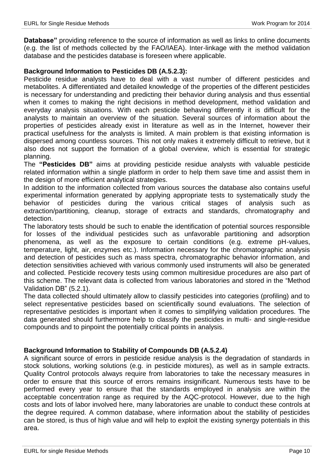**Database"** providing reference to the source of information as well as links to online documents (e.g. the list of methods collected by the FAO/IAEA). Inter-linkage with the method validation database and the pesticides database is foreseen where applicable.

#### **Background Information to Pesticides DB (A.5.2.3):**

Pesticide residue analysts have to deal with a vast number of different pesticides and metabolites. A differentiated and detailed knowledge of the properties of the different pesticides is necessary for understanding and predicting their behavior during analysis and thus essential when it comes to making the right decisions in method development, method validation and everyday analysis situations. With each pesticide behaving differently it is difficult for the analysts to maintain an overview of the situation. Several sources of information about the properties of pesticides already exist in literature as well as in the Internet, however their practical usefulness for the analysts is limited. A main problem is that existing information is dispersed among countless sources. This not only makes it extremely difficult to retrieve, but it also does not support the formation of a global overview, which is essential for strategic planning.

The **"Pesticides DB"** aims at providing pesticide residue analysts with valuable pesticide related information within a single platform in order to help them save time and assist them in the design of more efficient analytical strategies.

In addition to the information collected from various sources the database also contains useful experimental information generated by applying appropriate tests to systematically study the behavior of pesticides during the various critical stages of analysis such as extraction/partitioning, cleanup, storage of extracts and standards, chromatography and detection.

The laboratory tests should be such to enable the identification of potential sources responsible for losses of the individual pesticides such as unfavorable partitioning and adsorption phenomena, as well as the exposure to certain conditions (e.g. extreme pH-values, temperature, light, air, enzymes etc.). Information necessary for the chromatographic analysis and detection of pesticides such as mass spectra, chromatographic behavior information, and detection sensitivities achieved with various commonly used instruments will also be generated and collected. Pesticide recovery tests using common multiresidue procedures are also part of this scheme. The relevant data is collected from various laboratories and stored in the "Method Validation DB" (5.2.1).

The data collected should ultimately allow to classify pesticides into categories (profiling) and to select representative pesticides based on scientifically sound evaluations. The selection of representative pesticides is important when it comes to simplifying validation procedures. The data generated should furthermore help to classify the pesticides in multi- and single-residue compounds and to pinpoint the potentially critical points in analysis.

#### **Background Information to Stability of Compounds DB (A.5.2.4)**

A significant source of errors in pesticide residue analysis is the degradation of standards in stock solutions, working solutions (e.g. in pesticide mixtures), as well as in sample extracts. Quality Control protocols always require from laboratories to take the necessary measures in order to ensure that this source of errors remains insignificant. Numerous tests have to be performed every year to ensure that the standards employed in analysis are within the acceptable concentration range as required by the AQC-protocol. However, due to the high costs and lots of labor involved here, many laboratories are unable to conduct these controls at the degree required. A common database, where information about the stability of pesticides can be stored, is thus of high value and will help to exploit the existing synergy potentials in this area.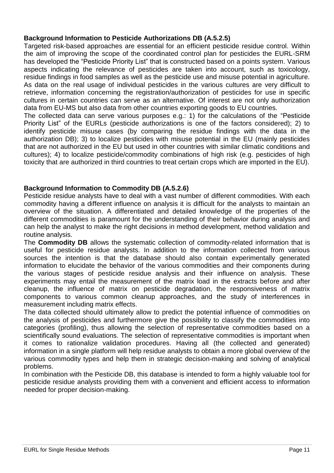#### **Background Information to Pesticide Authorizations DB (A.5.2.5)**

Targeted risk-based approaches are essential for an efficient pesticide residue control. Within the aim of improving the scope of the coordinated control plan for pesticides the EURL-SRM has developed the "Pesticide Priority List" that is constructed based on a points system. Various aspects indicating the relevance of pesticides are taken into account, such as toxicology, residue findings in food samples as well as the pesticide use and misuse potential in agriculture. As data on the real usage of individual pesticides in the various cultures are very difficult to retrieve, information concerning the registration/authorization of pesticides for use in specific cultures in certain countries can serve as an alternative. Of interest are not only authorization data from EU-MS but also data from other countries exporting goods to EU countries.

The collected data can serve various purposes e.g.: 1) for the calculations of the "Pesticide Priority List" of the EURLs (pesticide authorizations is one of the factors considered); 2) to identify pesticide misuse cases (by comparing the residue findings with the data in the authorization DB); 3) to localize pesticides with misuse potential in the EU (mainly pesticides that are not authorized in the EU but used in other countries with similar climatic conditions and cultures); 4) to localize pesticide/commodity combinations of high risk (e.g. pesticides of high toxicity that are authorized in third countries to treat certain crops which are imported in the EU).

#### **Background Information to Commodity DB (A.5.2.6)**

Pesticide residue analysts have to deal with a vast number of different commodities. With each commodity having a different influence on analysis it is difficult for the analysts to maintain an overview of the situation. A differentiated and detailed knowledge of the properties of the different commodities is paramount for the understanding of their behavior during analysis and can help the analyst to make the right decisions in method development, method validation and routine analysis.

The **Commodity DB** allows the systematic collection of commodity-related information that is useful for pesticide residue analysts. In addition to the information collected from various sources the intention is that the database should also contain experimentally generated information to elucidate the behavior of the various commodities and their components during the various stages of pesticide residue analysis and their influence on analysis. These experiments may entail the measurement of the matrix load in the extracts before and after cleanup, the influence of matrix on pesticide degradation, the responsiveness of matrix components to various common cleanup approaches, and the study of interferences in measurement including matrix effects.

The data collected should ultimately allow to predict the potential influence of commodities on the analysis of pesticides and furthermore give the possibility to classify the commodities into categories (profiling), thus allowing the selection of representative commodities based on a scientifically sound evaluations. The selection of representative commodities is important when it comes to rationalize validation procedures. Having all (the collected and generated) information in a single platform will help residue analysts to obtain a more global overview of the various commodity types and help them in strategic decision-making and solving of analytical problems.

In combination with the Pesticide DB, this database is intended to form a highly valuable tool for pesticide residue analysts providing them with a convenient and efficient access to information needed for proper decision-making.